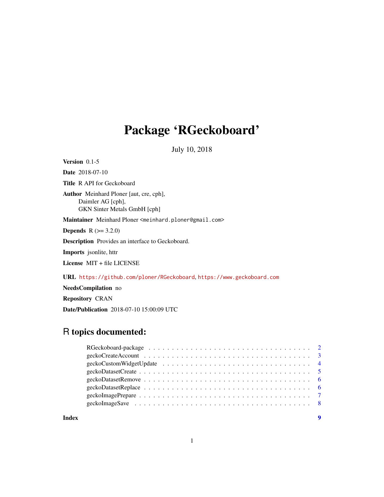## Package 'RGeckoboard'

July 10, 2018

Version 0.1-5 Date 2018-07-10 Title R API for Geckoboard Author Meinhard Ploner [aut, cre, cph], Daimler AG [cph], GKN Sinter Metals GmbH [cph] Maintainer Meinhard Ploner <meinhard.ploner@gmail.com> **Depends** R  $(>= 3.2.0)$ Description Provides an interface to Geckoboard. Imports jsonlite, httr License MIT + file LICENSE URL <https://github.com/ploner/RGeckoboard>, <https://www.geckoboard.com> NeedsCompilation no

Repository CRAN Date/Publication 2018-07-10 15:00:09 UTC

### R topics documented:

|       | $geckoCreateAccount \dots \dots \dots \dots \dots \dots \dots \dots \dots \dots \dots \dots \dots \dots \dots \dots$ |
|-------|----------------------------------------------------------------------------------------------------------------------|
|       |                                                                                                                      |
|       |                                                                                                                      |
|       |                                                                                                                      |
|       |                                                                                                                      |
|       |                                                                                                                      |
|       |                                                                                                                      |
|       |                                                                                                                      |
| Index |                                                                                                                      |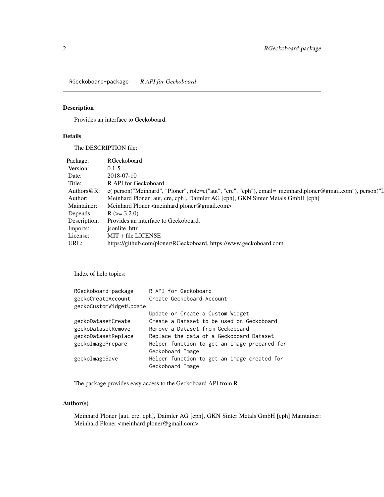<span id="page-1-0"></span>RGeckoboard-package *R API for Geckoboard*

#### Description

Provides an interface to Geckoboard.

#### Details

The DESCRIPTION file:

| Package:       | RGeckoboard                                                                                                |
|----------------|------------------------------------------------------------------------------------------------------------|
| Version:       | $0.1 - 5$                                                                                                  |
| Date:          | 2018-07-10                                                                                                 |
| Title:         | R API for Geckoboard                                                                                       |
| Authors $@R$ : | c( person("Meinhard", "Ploner", role=c("aut", "cre", "cph"), email="meinhard.ploner@gmail.com"), person("I |
| Author:        | Meinhard Ploner [aut, cre, cph], Daimler AG [cph], GKN Sinter Metals GmbH [cph]                            |
| Maintainer:    | Meinhard Ploner <meinhard.ploner@gmail.com></meinhard.ploner@gmail.com>                                    |
| Depends:       | $R (= 3.2.0)$                                                                                              |
| Description:   | Provides an interface to Geckoboard.                                                                       |
| Imports:       | isonlite, httr                                                                                             |
| License:       | $MIT + file LICENSE$                                                                                       |
| URL:           | https://github.com/ploner/RGeckoboard, https://www.geckoboard.com                                          |

Index of help topics:

| RGeckoboard-package     | R API for Geckoboard                         |
|-------------------------|----------------------------------------------|
| geckoCreateAccount      | Create Geckoboard Account                    |
| geckoCustomWidgetUpdate |                                              |
|                         | Update or Create a Custom Widget             |
| geckoDatasetCreate      | Create a Dataset to be used on Geckoboard    |
| geckoDatasetRemove      | Remove a Dataset from Geckoboard             |
| geckoDatasetReplace     | Replace the data of a Geckoboard Dataset     |
| geckoImagePrepare       | Helper function to get an image prepared for |
|                         | Geckoboard Image                             |
| geckoImageSave          | Helper function to get an image created for  |
|                         | Geckoboard Image                             |

The package provides easy access to the Geckoboard API from R.

#### Author(s)

Meinhard Ploner [aut, cre, cph], Daimler AG [cph], GKN Sinter Metals GmbH [cph] Maintainer: Meinhard Ploner <meinhard.ploner@gmail.com>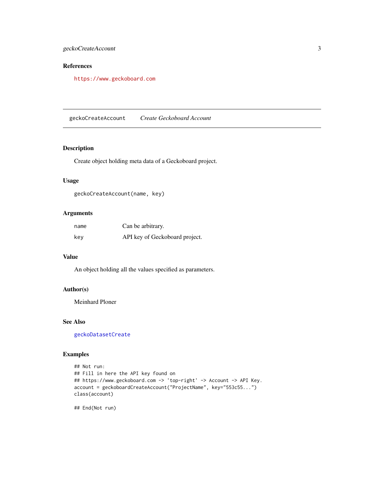#### <span id="page-2-0"></span>geckoCreateAccount 3

#### References

<https://www.geckoboard.com>

geckoCreateAccount *Create Geckoboard Account*

#### Description

Create object holding meta data of a Geckoboard project.

#### Usage

geckoCreateAccount(name, key)

#### Arguments

| name | Can be arbitrary.              |
|------|--------------------------------|
| key  | API key of Geckoboard project. |

#### Value

An object holding all the values specified as parameters.

#### Author(s)

Meinhard Ploner

#### See Also

[geckoDatasetCreate](#page-4-1)

#### Examples

```
## Not run:
## Fill in here the API key found on
## https://www.geckoboard.com -> 'top-right' -> Account -> API Key.
account = geckoboardCreateAccount("ProjectName", key="553c55...")
class(account)
```
## End(Not run)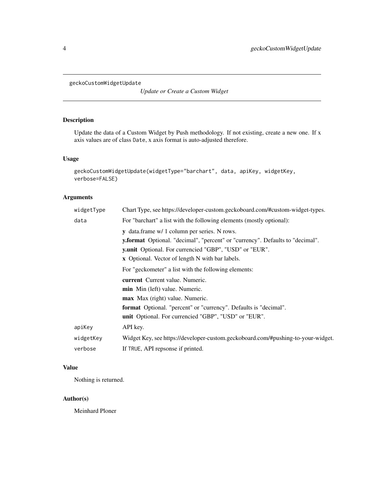<span id="page-3-0"></span>geckoCustomWidgetUpdate

*Update or Create a Custom Widget*

#### Description

Update the data of a Custom Widget by Push methodology. If not existing, create a new one. If x axis values are of class Date, x axis format is auto-adjusted therefore.

#### Usage

```
geckoCustomWidgetUpdate(widgetType="barchart", data, apiKey, widgetKey,
verbose=FALSE)
```
#### Arguments

| y.format Optional. "decimal", "percent" or "currency". Defaults to "decimal".    |
|----------------------------------------------------------------------------------|
|                                                                                  |
|                                                                                  |
|                                                                                  |
|                                                                                  |
|                                                                                  |
|                                                                                  |
|                                                                                  |
|                                                                                  |
|                                                                                  |
|                                                                                  |
|                                                                                  |
|                                                                                  |
| Widget Key, see https://developer-custom.geckoboard.com/#pushing-to-your-widget. |
|                                                                                  |
|                                                                                  |

#### Value

Nothing is returned.

#### Author(s)

Meinhard Ploner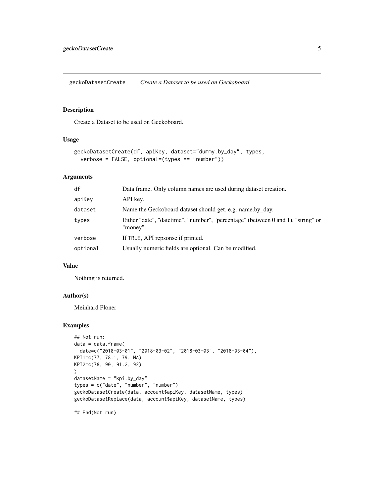<span id="page-4-1"></span><span id="page-4-0"></span>geckoDatasetCreate *Create a Dataset to be used on Geckoboard*

#### Description

Create a Dataset to be used on Geckoboard.

#### Usage

```
geckoDatasetCreate(df, apiKey, dataset="dummy.by_day", types,
 verbose = FALSE, optional=(types == "number"))
```
#### Arguments

| df       | Data frame. Only column names are used during dataset creation.                              |
|----------|----------------------------------------------------------------------------------------------|
| apiKey   | API key.                                                                                     |
| dataset  | Name the Geckoboard dataset should get, e.g. name by day.                                    |
| types    | Either "date", "datetime", "number", "percentage" (between 0 and 1), "string" or<br>"money". |
| verbose  | If TRUE, API repsonse if printed.                                                            |
| optional | Usually numeric fields are optional. Can be modified.                                        |

#### Value

Nothing is returned.

#### Author(s)

Meinhard Ploner

#### Examples

```
## Not run:
data = data.frame(
 date=c("2018-03-01", "2018-03-02", "2018-03-03", "2018-03-04"),
KPI1=c(77, 78.1, 79, NA),
KPI2=c(78, 90, 91.2, 92)
\mathcal{L}datasetName = "kpi.by_day"
types = c("date", "number", "number")
geckoDatasetCreate(data, account$apiKey, datasetName, types)
geckoDatasetReplace(data, account$apiKey, datasetName, types)
```
## End(Not run)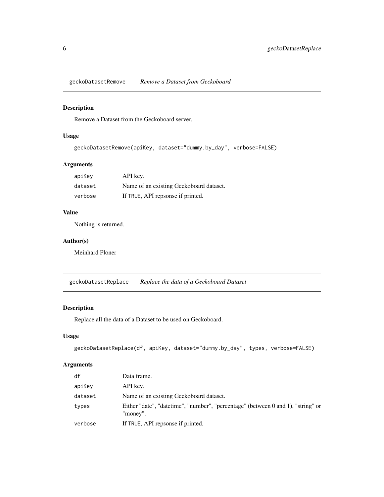<span id="page-5-0"></span>geckoDatasetRemove *Remove a Dataset from Geckoboard*

#### Description

Remove a Dataset from the Geckoboard server.

#### Usage

```
geckoDatasetRemove(apiKey, dataset="dummy.by_day", verbose=FALSE)
```
#### Arguments

| apiKey  | API key.                                |
|---------|-----------------------------------------|
| dataset | Name of an existing Geckoboard dataset. |
| verbose | If TRUE, API repsonse if printed.       |

#### Value

Nothing is returned.

#### Author(s)

Meinhard Ploner

geckoDatasetReplace *Replace the data of a Geckoboard Dataset*

#### Description

Replace all the data of a Dataset to be used on Geckoboard.

#### Usage

```
geckoDatasetReplace(df, apiKey, dataset="dummy.by_day", types, verbose=FALSE)
```
#### Arguments

| df      | Data frame.                                                                                  |
|---------|----------------------------------------------------------------------------------------------|
| apiKey  | API key.                                                                                     |
| dataset | Name of an existing Geckoboard dataset.                                                      |
| types   | Either "date", "datetime", "number", "percentage" (between 0 and 1), "string" or<br>"money". |
| verbose | If TRUE, API repsonse if printed.                                                            |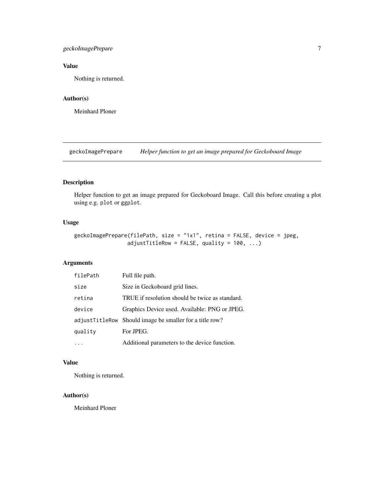#### <span id="page-6-0"></span>geckoImagePrepare 7

#### Value

Nothing is returned.

#### Author(s)

Meinhard Ploner

geckoImagePrepare *Helper function to get an image prepared for Geckoboard Image*

#### Description

Helper function to get an image prepared for Geckoboard Image. Call this before creating a plot using e.g. plot or ggplot.

#### Usage

```
geckoImagePrepare(filePath, size = "1x1", retina = FALSE, device = jpeg,
                 adjustTitleRow = FALSE, quality = 100, ...)
```
#### Arguments

| filePath | Full file path.                                         |
|----------|---------------------------------------------------------|
| size     | Size in Geckoboard grid lines.                          |
| retina   | TRUE if resolution should be twice as standard.         |
| device   | Graphics Device used. Available: PNG or JPEG.           |
|          | adjustTitleRow Should image be smaller for a title row? |
| quality  | For JPEG.                                               |
|          | Additional parameters to the device function.           |

#### Value

Nothing is returned.

#### Author(s)

Meinhard Ploner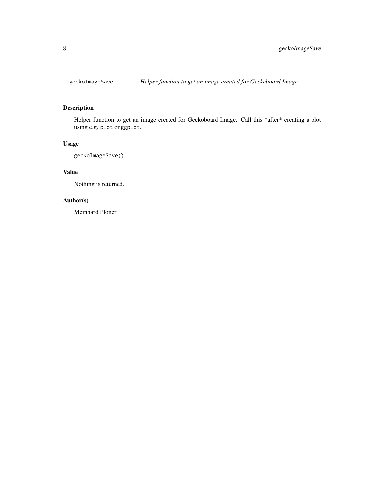<span id="page-7-0"></span>

#### Description

Helper function to get an image created for Geckoboard Image. Call this \*after\* creating a plot using e.g. plot or ggplot.

#### Usage

geckoImageSave()

#### Value

Nothing is returned.

#### Author(s)

Meinhard Ploner